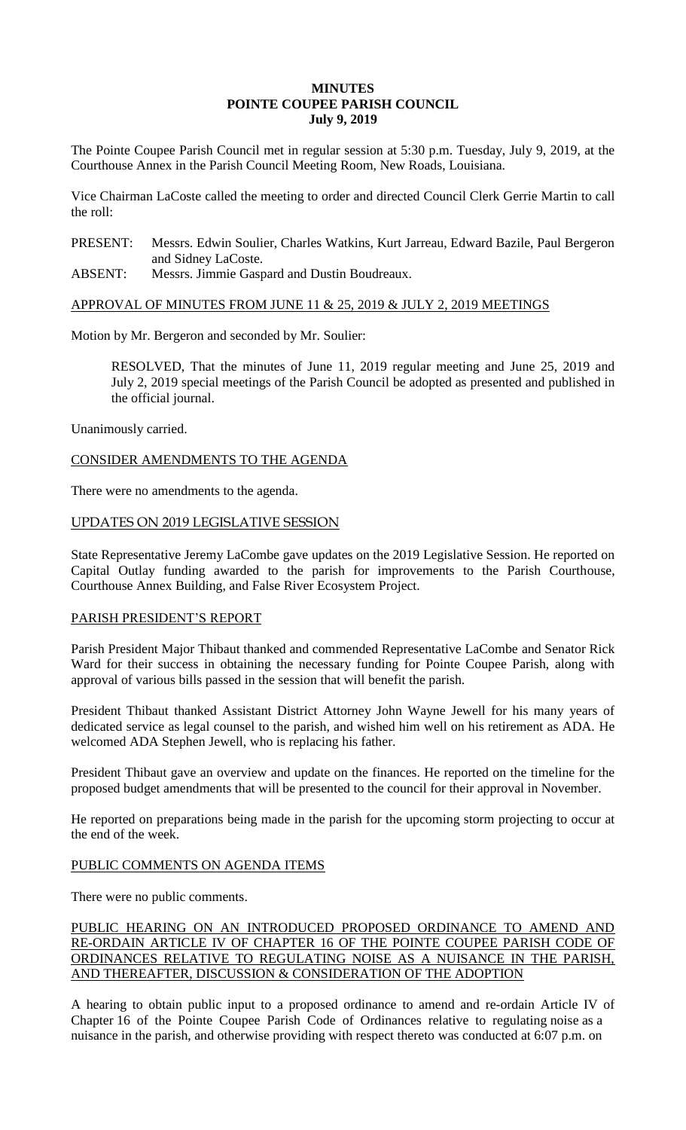# **MINUTES POINTE COUPEE PARISH COUNCIL July 9, 2019**

The Pointe Coupee Parish Council met in regular session at 5:30 p.m. Tuesday, July 9, 2019, at the Courthouse Annex in the Parish Council Meeting Room, New Roads, Louisiana.

Vice Chairman LaCoste called the meeting to order and directed Council Clerk Gerrie Martin to call the roll:

PRESENT: Messrs. Edwin Soulier, Charles Watkins, Kurt Jarreau, Edward Bazile, Paul Bergeron and Sidney LaCoste.

ABSENT: Messrs. Jimmie Gaspard and Dustin Boudreaux.

## APPROVAL OF MINUTES FROM JUNE 11 & 25, 2019 & JULY 2, 2019 MEETINGS

Motion by Mr. Bergeron and seconded by Mr. Soulier:

RESOLVED, That the minutes of June 11, 2019 regular meeting and June 25, 2019 and July 2, 2019 special meetings of the Parish Council be adopted as presented and published in the official journal.

Unanimously carried.

# CONSIDER AMENDMENTS TO THE AGENDA

There were no amendments to the agenda.

## UPDATES ON 2019 LEGISLATIVE SESSION

State Representative Jeremy LaCombe gave updates on the 2019 Legislative Session. He reported on Capital Outlay funding awarded to the parish for improvements to the Parish Courthouse, Courthouse Annex Building, and False River Ecosystem Project.

#### PARISH PRESIDENT'S REPORT

Parish President Major Thibaut thanked and commended Representative LaCombe and Senator Rick Ward for their success in obtaining the necessary funding for Pointe Coupee Parish, along with approval of various bills passed in the session that will benefit the parish.

President Thibaut thanked Assistant District Attorney John Wayne Jewell for his many years of dedicated service as legal counsel to the parish, and wished him well on his retirement as ADA. He welcomed ADA Stephen Jewell, who is replacing his father.

President Thibaut gave an overview and update on the finances. He reported on the timeline for the proposed budget amendments that will be presented to the council for their approval in November.

He reported on preparations being made in the parish for the upcoming storm projecting to occur at the end of the week.

# PUBLIC COMMENTS ON AGENDA ITEMS

There were no public comments.

# PUBLIC HEARING ON AN INTRODUCED PROPOSED ORDINANCE TO AMEND AND RE-ORDAIN ARTICLE IV OF CHAPTER 16 OF THE POINTE COUPEE PARISH CODE OF ORDINANCES RELATIVE TO REGULATING NOISE AS A NUISANCE IN THE PARISH, AND THEREAFTER, DISCUSSION & CONSIDERATION OF THE ADOPTION

A hearing to obtain public input to a proposed ordinance to amend and re-ordain Article IV of Chapter 16 of the Pointe Coupee Parish Code of Ordinances relative to regulating noise as a nuisance in the parish, and otherwise providing with respect thereto was conducted at 6:07 p.m. on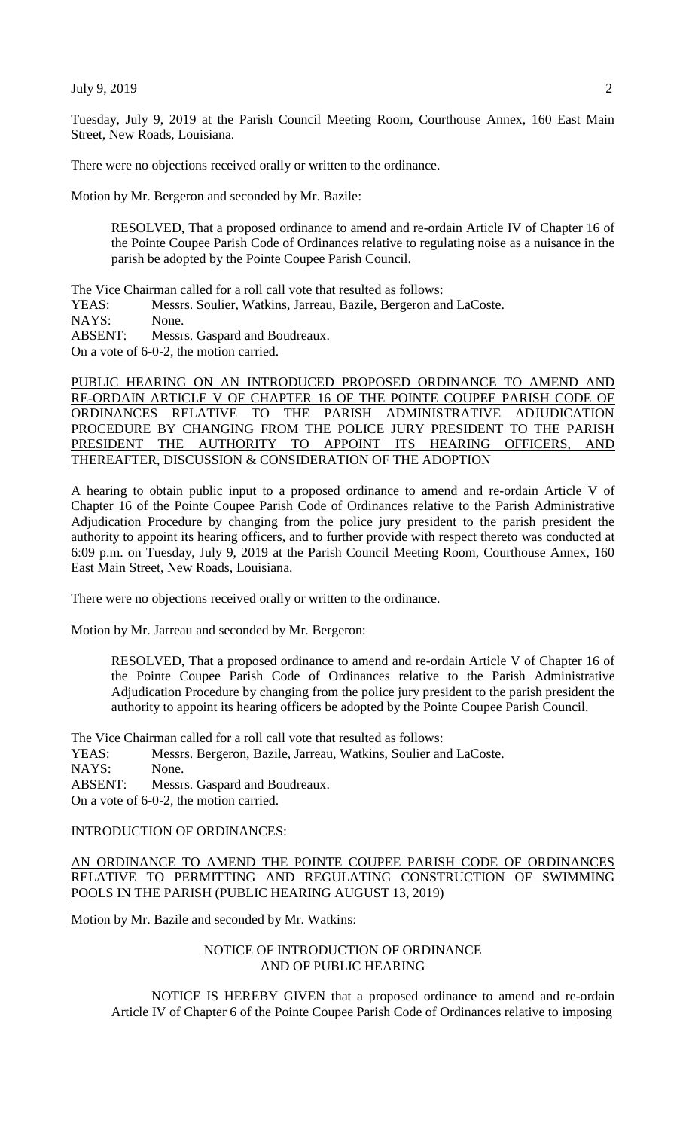Tuesday, July 9, 2019 at the Parish Council Meeting Room, Courthouse Annex, 160 East Main Street, New Roads, Louisiana.

There were no objections received orally or written to the ordinance.

Motion by Mr. Bergeron and seconded by Mr. Bazile:

RESOLVED, That a proposed ordinance to amend and re-ordain Article IV of Chapter 16 of the Pointe Coupee Parish Code of Ordinances relative to regulating noise as a nuisance in the parish be adopted by the Pointe Coupee Parish Council.

The Vice Chairman called for a roll call vote that resulted as follows:

YEAS: Messrs. Soulier, Watkins, Jarreau, Bazile, Bergeron and LaCoste.

NAYS: None.

ABSENT: Messrs. Gaspard and Boudreaux.

On a vote of 6-0-2, the motion carried.

PUBLIC HEARING ON AN INTRODUCED PROPOSED ORDINANCE TO AMEND AND RE-ORDAIN ARTICLE V OF CHAPTER 16 OF THE POINTE COUPEE PARISH CODE OF ORDINANCES RELATIVE TO THE PARISH ADMINISTRATIVE ADJUDICATION PROCEDURE BY CHANGING FROM THE POLICE JURY PRESIDENT TO THE PARISH PRESIDENT THE AUTHORITY TO APPOINT ITS HEARING OFFICERS, AND THEREAFTER, DISCUSSION & CONSIDERATION OF THE ADOPTION

A hearing to obtain public input to a proposed ordinance to amend and re-ordain Article V of Chapter 16 of the Pointe Coupee Parish Code of Ordinances relative to the Parish Administrative Adjudication Procedure by changing from the police jury president to the parish president the authority to appoint its hearing officers, and to further provide with respect thereto was conducted at 6:09 p.m. on Tuesday, July 9, 2019 at the Parish Council Meeting Room, Courthouse Annex, 160 East Main Street, New Roads, Louisiana.

There were no objections received orally or written to the ordinance.

Motion by Mr. Jarreau and seconded by Mr. Bergeron:

RESOLVED, That a proposed ordinance to amend and re-ordain Article V of Chapter 16 of the Pointe Coupee Parish Code of Ordinances relative to the Parish Administrative Adjudication Procedure by changing from the police jury president to the parish president the authority to appoint its hearing officers be adopted by the Pointe Coupee Parish Council.

The Vice Chairman called for a roll call vote that resulted as follows:

YEAS: Messrs. Bergeron, Bazile, Jarreau, Watkins, Soulier and LaCoste.

NAYS: None.

ABSENT: Messrs. Gaspard and Boudreaux.

On a vote of 6-0-2, the motion carried.

#### INTRODUCTION OF ORDINANCES:

## AN ORDINANCE TO AMEND THE POINTE COUPEE PARISH CODE OF ORDINANCES RELATIVE TO PERMITTING AND REGULATING CONSTRUCTION OF SWIMMING POOLS IN THE PARISH (PUBLIC HEARING AUGUST 13, 2019)

Motion by Mr. Bazile and seconded by Mr. Watkins:

# NOTICE OF INTRODUCTION OF ORDINANCE AND OF PUBLIC HEARING

NOTICE IS HEREBY GIVEN that a proposed ordinance to amend and re-ordain Article IV of Chapter 6 of the Pointe Coupee Parish Code of Ordinances relative to imposing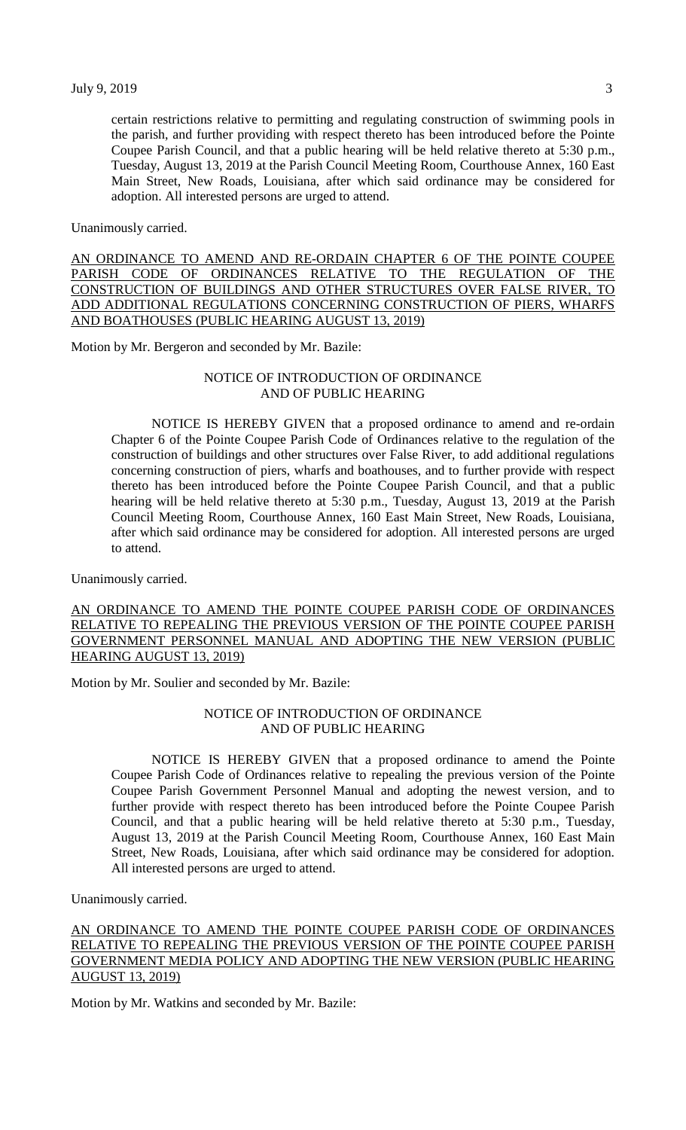certain restrictions relative to permitting and regulating construction of swimming pools in the parish, and further providing with respect thereto has been introduced before the Pointe Coupee Parish Council, and that a public hearing will be held relative thereto at 5:30 p.m., Tuesday, August 13, 2019 at the Parish Council Meeting Room, Courthouse Annex, 160 East Main Street, New Roads, Louisiana, after which said ordinance may be considered for adoption. All interested persons are urged to attend.

Unanimously carried.

AN ORDINANCE TO AMEND AND RE-ORDAIN CHAPTER 6 OF THE POINTE COUPEE PARISH CODE OF ORDINANCES RELATIVE TO THE REGULATION OF THE CONSTRUCTION OF BUILDINGS AND OTHER STRUCTURES OVER FALSE RIVER, TO ADD ADDITIONAL REGULATIONS CONCERNING CONSTRUCTION OF PIERS, WHARFS AND BOATHOUSES (PUBLIC HEARING AUGUST 13, 2019)

Motion by Mr. Bergeron and seconded by Mr. Bazile:

#### NOTICE OF INTRODUCTION OF ORDINANCE AND OF PUBLIC HEARING

NOTICE IS HEREBY GIVEN that a proposed ordinance to amend and re-ordain Chapter 6 of the Pointe Coupee Parish Code of Ordinances relative to the regulation of the construction of buildings and other structures over False River, to add additional regulations concerning construction of piers, wharfs and boathouses, and to further provide with respect thereto has been introduced before the Pointe Coupee Parish Council, and that a public hearing will be held relative thereto at 5:30 p.m., Tuesday, August 13, 2019 at the Parish Council Meeting Room, Courthouse Annex, 160 East Main Street, New Roads, Louisiana, after which said ordinance may be considered for adoption. All interested persons are urged to attend.

Unanimously carried.

# AN ORDINANCE TO AMEND THE POINTE COUPEE PARISH CODE OF ORDINANCES RELATIVE TO REPEALING THE PREVIOUS VERSION OF THE POINTE COUPEE PARISH GOVERNMENT PERSONNEL MANUAL AND ADOPTING THE NEW VERSION (PUBLIC HEARING AUGUST 13, 2019)

Motion by Mr. Soulier and seconded by Mr. Bazile:

# NOTICE OF INTRODUCTION OF ORDINANCE AND OF PUBLIC HEARING

NOTICE IS HEREBY GIVEN that a proposed ordinance to amend the Pointe Coupee Parish Code of Ordinances relative to repealing the previous version of the Pointe Coupee Parish Government Personnel Manual and adopting the newest version, and to further provide with respect thereto has been introduced before the Pointe Coupee Parish Council, and that a public hearing will be held relative thereto at 5:30 p.m., Tuesday, August 13, 2019 at the Parish Council Meeting Room, Courthouse Annex, 160 East Main Street, New Roads, Louisiana, after which said ordinance may be considered for adoption. All interested persons are urged to attend.

Unanimously carried.

# AN ORDINANCE TO AMEND THE POINTE COUPEE PARISH CODE OF ORDINANCES RELATIVE TO REPEALING THE PREVIOUS VERSION OF THE POINTE COUPEE PARISH GOVERNMENT MEDIA POLICY AND ADOPTING THE NEW VERSION (PUBLIC HEARING AUGUST 13, 2019)

Motion by Mr. Watkins and seconded by Mr. Bazile: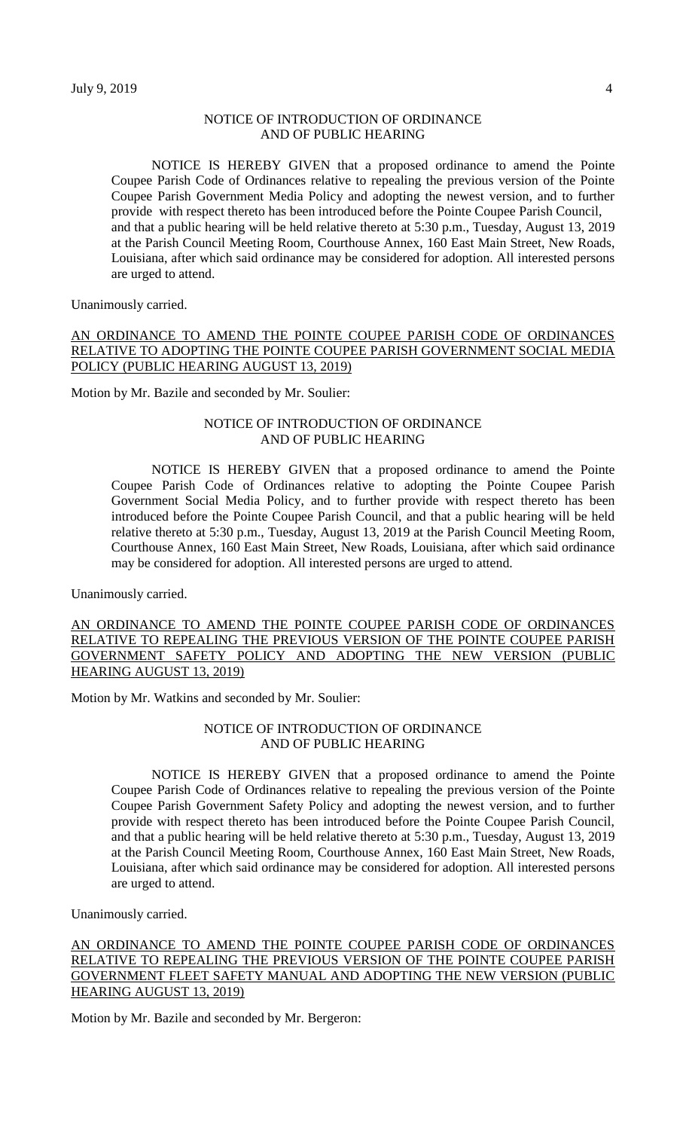# NOTICE OF INTRODUCTION OF ORDINANCE AND OF PUBLIC HEARING

NOTICE IS HEREBY GIVEN that a proposed ordinance to amend the Pointe Coupee Parish Code of Ordinances relative to repealing the previous version of the Pointe Coupee Parish Government Media Policy and adopting the newest version, and to further provide with respect thereto has been introduced before the Pointe Coupee Parish Council, and that a public hearing will be held relative thereto at 5:30 p.m., Tuesday, August 13, 2019 at the Parish Council Meeting Room, Courthouse Annex, 160 East Main Street, New Roads, Louisiana, after which said ordinance may be considered for adoption. All interested persons are urged to attend.

Unanimously carried.

# AN ORDINANCE TO AMEND THE POINTE COUPEE PARISH CODE OF ORDINANCES RELATIVE TO ADOPTING THE POINTE COUPEE PARISH GOVERNMENT SOCIAL MEDIA POLICY (PUBLIC HEARING AUGUST 13, 2019)

Motion by Mr. Bazile and seconded by Mr. Soulier:

## NOTICE OF INTRODUCTION OF ORDINANCE AND OF PUBLIC HEARING

NOTICE IS HEREBY GIVEN that a proposed ordinance to amend the Pointe Coupee Parish Code of Ordinances relative to adopting the Pointe Coupee Parish Government Social Media Policy, and to further provide with respect thereto has been introduced before the Pointe Coupee Parish Council, and that a public hearing will be held relative thereto at 5:30 p.m., Tuesday, August 13, 2019 at the Parish Council Meeting Room, Courthouse Annex, 160 East Main Street, New Roads, Louisiana, after which said ordinance may be considered for adoption. All interested persons are urged to attend.

Unanimously carried.

AN ORDINANCE TO AMEND THE POINTE COUPEE PARISH CODE OF ORDINANCES RELATIVE TO REPEALING THE PREVIOUS VERSION OF THE POINTE COUPEE PARISH GOVERNMENT SAFETY POLICY AND ADOPTING THE NEW VERSION (PUBLIC HEARING AUGUST 13, 2019)

Motion by Mr. Watkins and seconded by Mr. Soulier:

# NOTICE OF INTRODUCTION OF ORDINANCE AND OF PUBLIC HEARING

NOTICE IS HEREBY GIVEN that a proposed ordinance to amend the Pointe Coupee Parish Code of Ordinances relative to repealing the previous version of the Pointe Coupee Parish Government Safety Policy and adopting the newest version, and to further provide with respect thereto has been introduced before the Pointe Coupee Parish Council, and that a public hearing will be held relative thereto at 5:30 p.m., Tuesday, August 13, 2019 at the Parish Council Meeting Room, Courthouse Annex, 160 East Main Street, New Roads, Louisiana, after which said ordinance may be considered for adoption. All interested persons are urged to attend.

Unanimously carried.

AN ORDINANCE TO AMEND THE POINTE COUPEE PARISH CODE OF ORDINANCES RELATIVE TO REPEALING THE PREVIOUS VERSION OF THE POINTE COUPEE PARISH GOVERNMENT FLEET SAFETY MANUAL AND ADOPTING THE NEW VERSION (PUBLIC HEARING AUGUST 13, 2019)

Motion by Mr. Bazile and seconded by Mr. Bergeron: